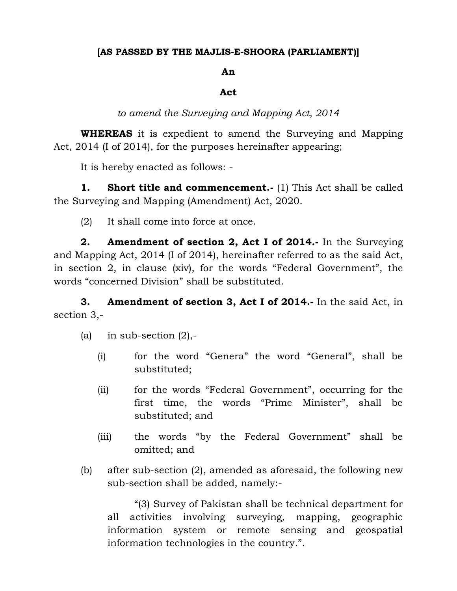## **[AS PASSED BY THE MAJLIS-E-SHOORA (PARLIAMENT)]**

## **An**

## **Act**

*to amend the Surveying and Mapping Act, 2014*

**WHEREAS** it is expedient to amend the Surveying and Mapping Act, 2014 (I of 2014), for the purposes hereinafter appearing;

It is hereby enacted as follows: -

**1. Short title and commencement.** (1) This Act shall be called the Surveying and Mapping (Amendment) Act, 2020.

(2) It shall come into force at once.

**2. Amendment of section 2, Act I of 2014.-** In the Surveying and Mapping Act, 2014 (I of 2014), hereinafter referred to as the said Act, in section 2, in clause (xiv), for the words "Federal Government", the words "concerned Division" shall be substituted.

**3. Amendment of section 3, Act I of 2014.-** In the said Act, in section 3,-

(a) in sub-section  $(2)$ ,-

- (i) for the word "Genera" the word "General", shall be substituted;
- (ii) for the words "Federal Government", occurring for the first time, the words "Prime Minister", shall be substituted; and
- (iii) the words "by the Federal Government" shall be omitted; and
- (b) after sub-section (2), amended as aforesaid, the following new sub-section shall be added, namely:-

"(3) Survey of Pakistan shall be technical department for all activities involving surveying, mapping, geographic information system or remote sensing and geospatial information technologies in the country.".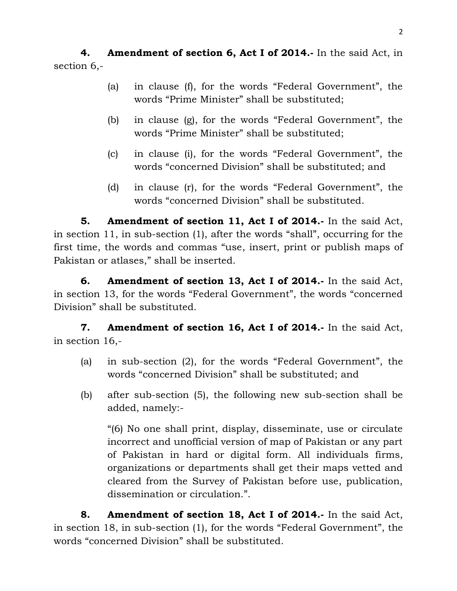**4. Amendment of section 6, Act I of 2014.-** In the said Act, in section 6,-

- (a) in clause (f), for the words "Federal Government", the words "Prime Minister" shall be substituted;
- (b) in clause (g), for the words "Federal Government", the words "Prime Minister" shall be substituted;
- (c) in clause (i), for the words "Federal Government", the words "concerned Division" shall be substituted; and
- (d) in clause (r), for the words "Federal Government", the words "concerned Division" shall be substituted.

**5. Amendment of section 11, Act I of 2014.-** In the said Act, in section 11, in sub-section (1), after the words "shall", occurring for the first time, the words and commas "use, insert, print or publish maps of Pakistan or atlases," shall be inserted.

**6. Amendment of section 13, Act I of 2014.-** In the said Act, in section 13, for the words "Federal Government", the words "concerned Division" shall be substituted.

**7. Amendment of section 16, Act I of 2014.-** In the said Act, in section 16,-

- (a) in sub-section (2), for the words "Federal Government", the words "concerned Division" shall be substituted; and
- (b) after sub-section (5), the following new sub-section shall be added, namely:-

"(6) No one shall print, display, disseminate, use or circulate incorrect and unofficial version of map of Pakistan or any part of Pakistan in hard or digital form. All individuals firms, organizations or departments shall get their maps vetted and cleared from the Survey of Pakistan before use, publication, dissemination or circulation.".

**8. Amendment of section 18, Act I of 2014.-** In the said Act, in section 18, in sub-section (1), for the words "Federal Government", the words "concerned Division" shall be substituted.